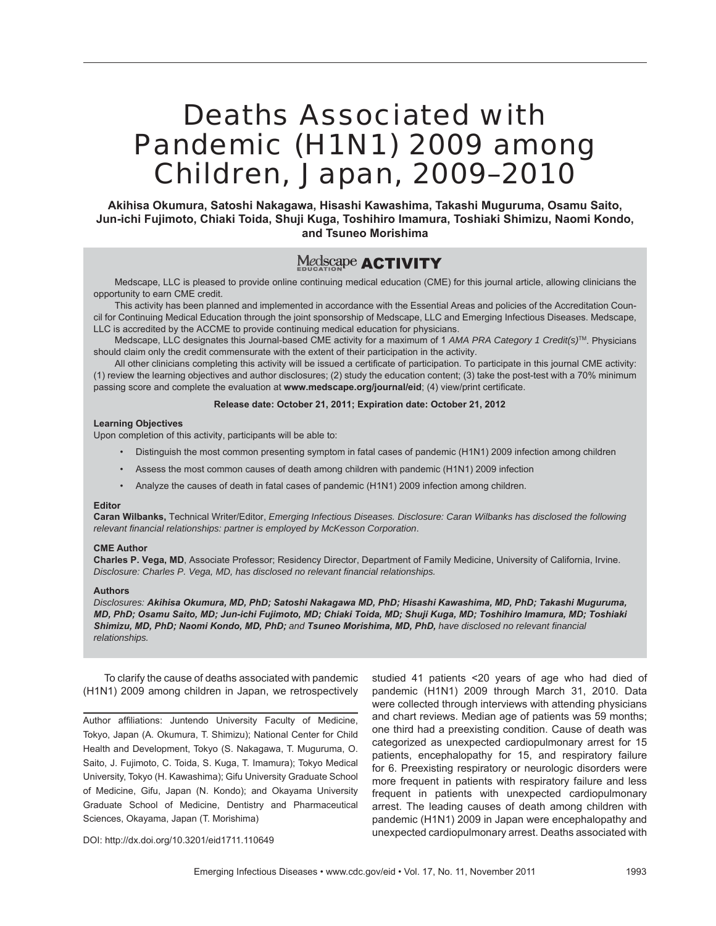# Deaths Associated with Pandemic (H1N1) 2009 among Children, Japan, 2009–2010

**Akihisa Okumura, Satoshi Nakagawa, Hisashi Kawashima, Takashi Muguruma, Osamu Saito, Jun-ichi Fujimoto, Chiaki Toida, Shuji Kuga, Toshihiro Imamura, Toshiaki Shimizu, Naomi Kondo, and Tsuneo Morishima**

# Medscape **ACTIVITY**

Medscape, LLC is pleased to provide online continuing medical education (CME) for this journal article, allowing clinicians the opportunity to earn CME credit.

This activity has been planned and implemented in accordance with the Essential Areas and policies of the Accreditation Council for Continuing Medical Education through the joint sponsorship of Medscape, LLC and Emerging Infectious Diseases. Medscape, LLC is accredited by the ACCME to provide continuing medical education for physicians.

Medscape, LLC designates this Journal-based CME activity for a maximum of 1 *AMA PRA Category 1 Credit(s)*TM. Physicians should claim only the credit commensurate with the extent of their participation in the activity.

All other clinicians completing this activity will be issued a certificate of participation. To participate in this journal CME activity: (1) review the learning objectives and author disclosures; (2) study the education content; (3) take the post-test with a 70% minimum passing score and complete the evaluation at www.medscape.org/journal/eid; (4) view/print certificate.

#### **Release date: October 21, 2011; Expiration date: October 21, 2012**

#### **Learning Objectives**

Upon completion of this activity, participants will be able to:

- Distinguish the most common presenting symptom in fatal cases of pandemic (H1N1) 2009 infection among children
- Assess the most common causes of death among children with pandemic (H1N1) 2009 infection
- Analyze the causes of death in fatal cases of pandemic (H1N1) 2009 infection among children.

#### **Editor**

**Caran Wilbanks,** Technical Writer/Editor, *Emerging Infectious Diseases. Disclosure: Caran Wilbanks has disclosed the following relevant fi nancial relationships: partner is employed by McKesson Corporation*.

#### **CME Author**

**Charles P. Vega, MD**, Associate Professor; Residency Director, Department of Family Medicine, University of California, Irvine. *Disclosure: Charles P. Vega, MD, has disclosed no relevant fi nancial relationships.*

#### **Authors**

*Disclosures: Akihisa Okumura, MD, PhD; Satoshi Nakagawa MD, PhD; Hisashi Kawashima, MD, PhD; Takashi Muguruma, MD, PhD; Osamu Saito, MD; Jun-ichi Fujimoto, MD; Chiaki Toida, MD; Shuji Kuga, MD; Toshihiro Imamura, MD; Toshiaki Shimizu, MD, PhD; Naomi Kondo, MD, PhD; and Tsuneo Morishima, MD, PhD, have disclosed no relevant fi nancial relationships.*

To clarify the cause of deaths associated with pandemic (H1N1) 2009 among children in Japan, we retrospectively

Author affiliations: Juntendo University Faculty of Medicine, Tokyo, Japan (A. Okumura, T. Shimizu); National Center for Child Health and Development, Tokyo (S. Nakagawa, T. Muguruma, O. Saito, J. Fujimoto, C. Toida, S. Kuga, T. Imamura); Tokyo Medical University, Tokyo (H. Kawashima); Gifu University Graduate School of Medicine, Gifu, Japan (N. Kondo); and Okayama University Graduate School of Medicine, Dentistry and Pharmaceutical Sciences, Okayama, Japan (T. Morishima)

studied 41 patients <20 years of age who had died of pandemic (H1N1) 2009 through March 31, 2010. Data were collected through interviews with attending physicians and chart reviews. Median age of patients was 59 months; one third had a preexisting condition. Cause of death was categorized as unexpected cardiopulmonary arrest for 15 patients, encephalopathy for 15, and respiratory failure for 6. Preexisting respiratory or neurologic disorders were more frequent in patients with respiratory failure and less frequent in patients with unexpected cardiopulmonary arrest. The leading causes of death among children with pandemic (H1N1) 2009 in Japan were encephalopathy and unexpected cardiopulmonary arrest. Deaths associated with

DOI: http://dx.doi.org/10.3201/eid1711.110649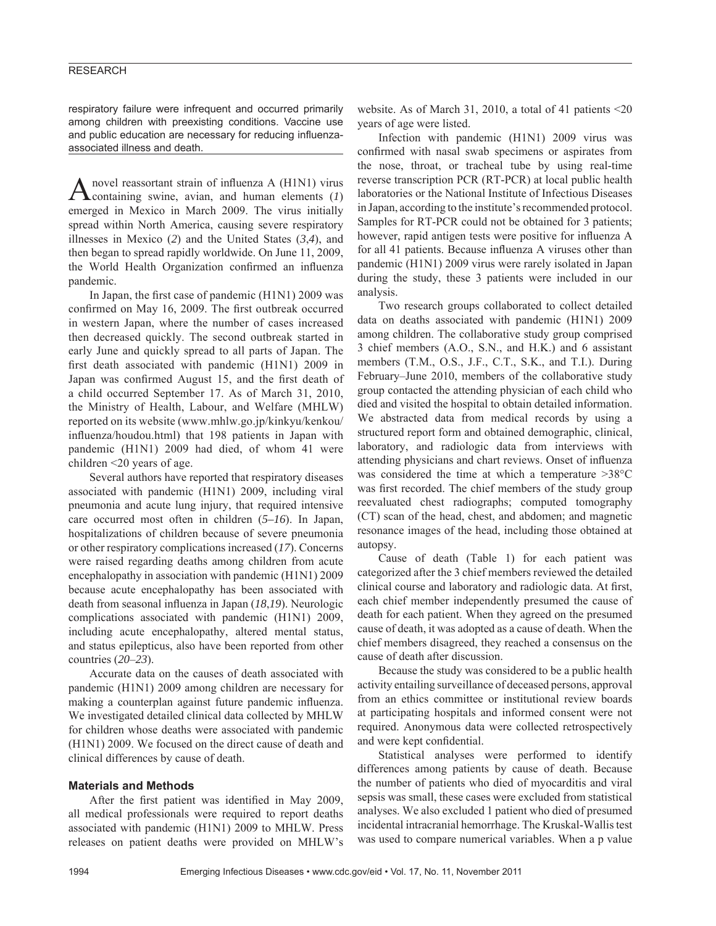respiratory failure were infrequent and occurred primarily among children with preexisting conditions. Vaccine use and public education are necessary for reducing influenzaassociated illness and death.

A novel reassortant strain of influenza A (H1N1) virus containing swine, avian, and human elements (*1*) emerged in Mexico in March 2009. The virus initially spread within North America, causing severe respiratory illnesses in Mexico (*2*) and the United States (*3*,*4*), and then began to spread rapidly worldwide. On June 11, 2009, the World Health Organization confirmed an influenza pandemic.

In Japan, the first case of pandemic  $(H1N1)$  2009 was confirmed on May 16, 2009. The first outbreak occurred in western Japan, where the number of cases increased then decreased quickly. The second outbreak started in early June and quickly spread to all parts of Japan. The first death associated with pandemic (H1N1) 2009 in Japan was confirmed August 15, and the first death of a child occurred September 17. As of March 31, 2010, the Ministry of Health, Labour, and Welfare (MHLW) reported on its website (www.mhlw.go.jp/kinkyu/kenkou/ influenza/houdou.html) that 198 patients in Japan with pandemic (H1N1) 2009 had died, of whom 41 were children <20 years of age.

Several authors have reported that respiratory diseases associated with pandemic (H1N1) 2009, including viral pneumonia and acute lung injury, that required intensive care occurred most often in children (*5–16*). In Japan, hospitalizations of children because of severe pneumonia or other respiratory complications increased (*17*). Concerns were raised regarding deaths among children from acute encephalopathy in association with pandemic (H1N1) 2009 because acute encephalopathy has been associated with death from seasonal influenza in Japan (18,19). Neurologic complications associated with pandemic (H1N1) 2009, including acute encephalopathy, altered mental status, and status epilepticus, also have been reported from other countries (*20*–*23*).

Accurate data on the causes of death associated with pandemic (H1N1) 2009 among children are necessary for making a counterplan against future pandemic influenza. We investigated detailed clinical data collected by MHLW for children whose deaths were associated with pandemic (H1N1) 2009. We focused on the direct cause of death and clinical differences by cause of death.

#### **Materials and Methods**

After the first patient was identified in May 2009, all medical professionals were required to report deaths associated with pandemic (H1N1) 2009 to MHLW. Press releases on patient deaths were provided on MHLW's website. As of March 31, 2010, a total of 41 patients <20 years of age were listed.

Infection with pandemic (H1N1) 2009 virus was confirmed with nasal swab specimens or aspirates from the nose, throat, or tracheal tube by using real-time reverse transcription PCR (RT-PCR) at local public health laboratories or the National Institute of Infectious Diseases in Japan, according to the institute's recommended protocol. Samples for RT-PCR could not be obtained for 3 patients; however, rapid antigen tests were positive for influenza A for all 41 patients. Because influenza A viruses other than pandemic (H1N1) 2009 virus were rarely isolated in Japan during the study, these 3 patients were included in our analysis.

Two research groups collaborated to collect detailed data on deaths associated with pandemic (H1N1) 2009 among children. The collaborative study group comprised 3 chief members (A.O., S.N., and H.K.) and 6 assistant members (T.M., O.S., J.F., C.T., S.K., and T.I.). During February–June 2010, members of the collaborative study group contacted the attending physician of each child who died and visited the hospital to obtain detailed information. We abstracted data from medical records by using a structured report form and obtained demographic, clinical, laboratory, and radiologic data from interviews with attending physicians and chart reviews. Onset of influenza was considered the time at which a temperature >38°C was first recorded. The chief members of the study group reevaluated chest radiographs; computed tomography (CT) scan of the head, chest, and abdomen; and magnetic resonance images of the head, including those obtained at autopsy.

Cause of death (Table 1) for each patient was categorized after the 3 chief members reviewed the detailed clinical course and laboratory and radiologic data. At first, each chief member independently presumed the cause of death for each patient. When they agreed on the presumed cause of death, it was adopted as a cause of death. When the chief members disagreed, they reached a consensus on the cause of death after discussion.

Because the study was considered to be a public health activity entailing surveillance of deceased persons, approval from an ethics committee or institutional review boards at participating hospitals and informed consent were not required. Anonymous data were collected retrospectively and were kept confidential.

Statistical analyses were performed to identify differences among patients by cause of death. Because the number of patients who died of myocarditis and viral sepsis was small, these cases were excluded from statistical analyses. We also excluded 1 patient who died of presumed incidental intracranial hemorrhage. The Kruskal-Wallis test was used to compare numerical variables. When a p value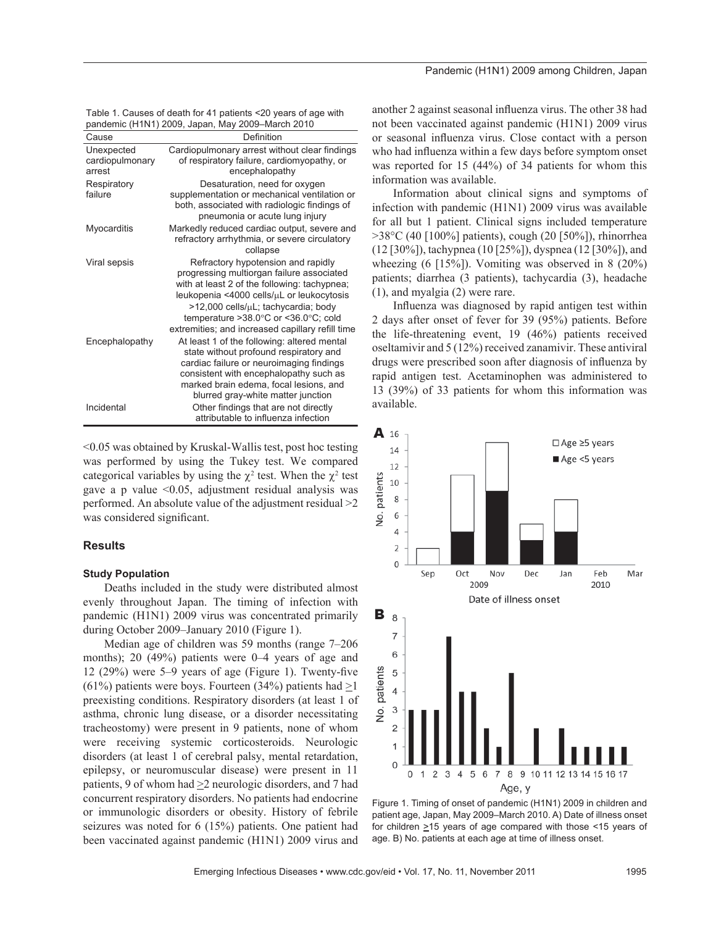|  | Table 1. Causes of death for 41 patients <20 years of age with |  |
|--|----------------------------------------------------------------|--|
|  | pandemic (H1N1) 2009, Japan, May 2009–March 2010               |  |

|                                         | $p$ andonno (1111) (2000, 0apan, 191a) 2000 - Maron 2010                                                                                                                                                                                                                                                                              |
|-----------------------------------------|---------------------------------------------------------------------------------------------------------------------------------------------------------------------------------------------------------------------------------------------------------------------------------------------------------------------------------------|
| Cause                                   | Definition                                                                                                                                                                                                                                                                                                                            |
| Unexpected<br>cardiopulmonary<br>arrest | Cardiopulmonary arrest without clear findings<br>of respiratory failure, cardiomyopathy, or<br>encephalopathy                                                                                                                                                                                                                         |
| Respiratory<br>failure                  | Desaturation, need for oxygen<br>supplementation or mechanical ventilation or<br>both, associated with radiologic findings of<br>pneumonia or acute lung injury                                                                                                                                                                       |
| Myocarditis                             | Markedly reduced cardiac output, severe and<br>refractory arrhythmia, or severe circulatory<br>collapse                                                                                                                                                                                                                               |
| Viral sepsis                            | Refractory hypotension and rapidly<br>progressing multiorgan failure associated<br>with at least 2 of the following: tachypnea;<br>leukopenia <4000 cells/µL or leukocytosis<br>>12,000 cells/uL; tachycardia; body<br>temperature > 38.0 $\degree$ C or < 36.0 $\degree$ C; cold<br>extremities; and increased capillary refill time |
| Encephalopathy                          | At least 1 of the following: altered mental<br>state without profound respiratory and<br>cardiac failure or neuroimaging findings<br>consistent with encephalopathy such as<br>marked brain edema, focal lesions, and<br>blurred gray-white matter junction                                                                           |
| Incidental                              | Other findings that are not directly<br>attributable to influenza infection                                                                                                                                                                                                                                                           |

<0.05 was obtained by Kruskal-Wallis test, post hoc testing was performed by using the Tukey test. We compared categorical variables by using the  $\chi^2$  test. When the  $\chi^2$  test gave a p value  $\leq 0.05$ , adjustment residual analysis was performed. An absolute value of the adjustment residual >2 was considered significant.

#### **Results**

#### **Study Population**

Deaths included in the study were distributed almost evenly throughout Japan. The timing of infection with pandemic (H1N1) 2009 virus was concentrated primarily during October 2009–January 2010 (Figure 1).

Median age of children was 59 months (range 7–206 months); 20 (49%) patients were 0–4 years of age and 12 (29%) were  $5-9$  years of age (Figure 1). Twenty-five (61%) patients were boys. Fourteen (34%) patients had  $\geq$ 1 preexisting conditions. Respiratory disorders (at least 1 of asthma, chronic lung disease, or a disorder necessitating tracheostomy) were present in 9 patients, none of whom were receiving systemic corticosteroids. Neurologic disorders (at least 1 of cerebral palsy, mental retardation, epilepsy, or neuromuscular disease) were present in 11 patients, 9 of whom had  $\geq$  2 neurologic disorders, and 7 had concurrent respiratory disorders. No patients had endocrine or immunologic disorders or obesity. History of febrile seizures was noted for 6 (15%) patients. One patient had been vaccinated against pandemic (H1N1) 2009 virus and

another 2 against seasonal influenza virus. The other 38 had not been vaccinated against pandemic (H1N1) 2009 virus or seasonal influenza virus. Close contact with a person who had influenza within a few days before symptom onset was reported for 15 (44%) of 34 patients for whom this information was available.

Information about clinical signs and symptoms of infection with pandemic (H1N1) 2009 virus was available for all but 1 patient. Clinical signs included temperature >38°C (40 [100%] patients), cough (20 [50%]), rhinorrhea (12 [30%]), tachypnea (10 [25%]), dyspnea (12 [30%]), and wheezing (6 [15%]). Vomiting was observed in 8 (20%) patients; diarrhea (3 patients), tachycardia (3), headache (1), and myalgia (2) were rare.

Influenza was diagnosed by rapid antigen test within 2 days after onset of fever for 39 (95%) patients. Before the life-threatening event, 19 (46%) patients received oseltamivir and 5 (12%) received zanamivir. These antiviral drugs were prescribed soon after diagnosis of influenza by rapid antigen test. Acetaminophen was administered to 13 (39%) of 33 patients for whom this information was available.



Figure 1. Timing of onset of pandemic (H1N1) 2009 in children and patient age, Japan, May 2009–March 2010. A) Date of illness onset for children  $\geq$ 15 years of age compared with those <15 years of age. B) No. patients at each age at time of illness onset.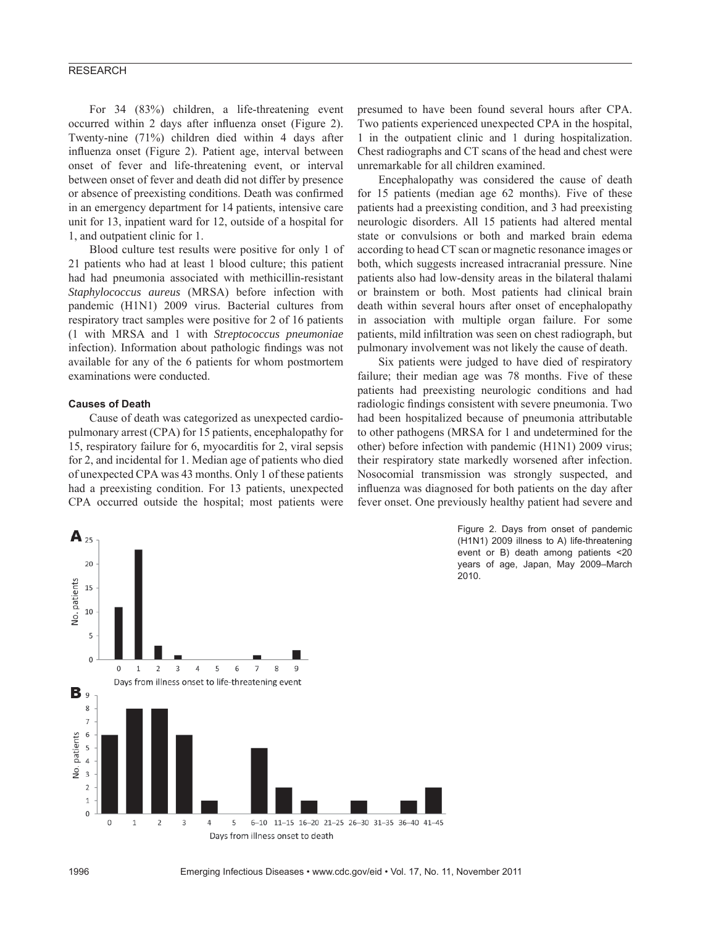For 34 (83%) children, a life-threatening event occurred within 2 days after influenza onset (Figure 2). Twenty-nine (71%) children died within 4 days after influenza onset (Figure 2). Patient age, interval between onset of fever and life-threatening event, or interval between onset of fever and death did not differ by presence or absence of preexisting conditions. Death was confirmed in an emergency department for 14 patients, intensive care unit for 13, inpatient ward for 12, outside of a hospital for 1, and outpatient clinic for 1.

Blood culture test results were positive for only 1 of 21 patients who had at least 1 blood culture; this patient had had pneumonia associated with methicillin-resistant *Staphylococcus aureus* (MRSA) before infection with pandemic (H1N1) 2009 virus. Bacterial cultures from respiratory tract samples were positive for 2 of 16 patients (1 with MRSA and 1 with *Streptococcus pneumoniae* infection). Information about pathologic findings was not available for any of the 6 patients for whom postmortem examinations were conducted.

#### **Causes of Death**

 $A_{25}$ 

Cause of death was categorized as unexpected cardiopulmonary arrest (CPA) for 15 patients, encephalopathy for 15, respiratory failure for 6, myocarditis for 2, viral sepsis for 2, and incidental for 1. Median age of patients who died of unexpected CPA was 43 months. Only 1 of these patients had a preexisting condition. For 13 patients, unexpected CPA occurred outside the hospital; most patients were presumed to have been found several hours after CPA. Two patients experienced unexpected CPA in the hospital, 1 in the outpatient clinic and 1 during hospitalization. Chest radiographs and CT scans of the head and chest were unremarkable for all children examined.

Encephalopathy was considered the cause of death for 15 patients (median age 62 months). Five of these patients had a preexisting condition, and 3 had preexisting neurologic disorders. All 15 patients had altered mental state or convulsions or both and marked brain edema according to head CT scan or magnetic resonance images or both, which suggests increased intracranial pressure. Nine patients also had low-density areas in the bilateral thalami or brainstem or both. Most patients had clinical brain death within several hours after onset of encephalopathy in association with multiple organ failure. For some patients, mild infiltration was seen on chest radiograph, but pulmonary involvement was not likely the cause of death.

Six patients were judged to have died of respiratory failure; their median age was 78 months. Five of these patients had preexisting neurologic conditions and had radiologic findings consistent with severe pneumonia. Two had been hospitalized because of pneumonia attributable to other pathogens (MRSA for 1 and undetermined for the other) before infection with pandemic (H1N1) 2009 virus; their respiratory state markedly worsened after infection. Nosocomial transmission was strongly suspected, and influenza was diagnosed for both patients on the day after fever onset. One previously healthy patient had severe and

> Figure 2. Days from onset of pandemic (H1N1) 2009 illness to A) life-threatening event or B) death among patients <20 years of age, Japan, May 2009–March 2010.



1996 Emerging Infectious Diseases • www.cdc.gov/eid • Vol. 17, No. 11, November 2011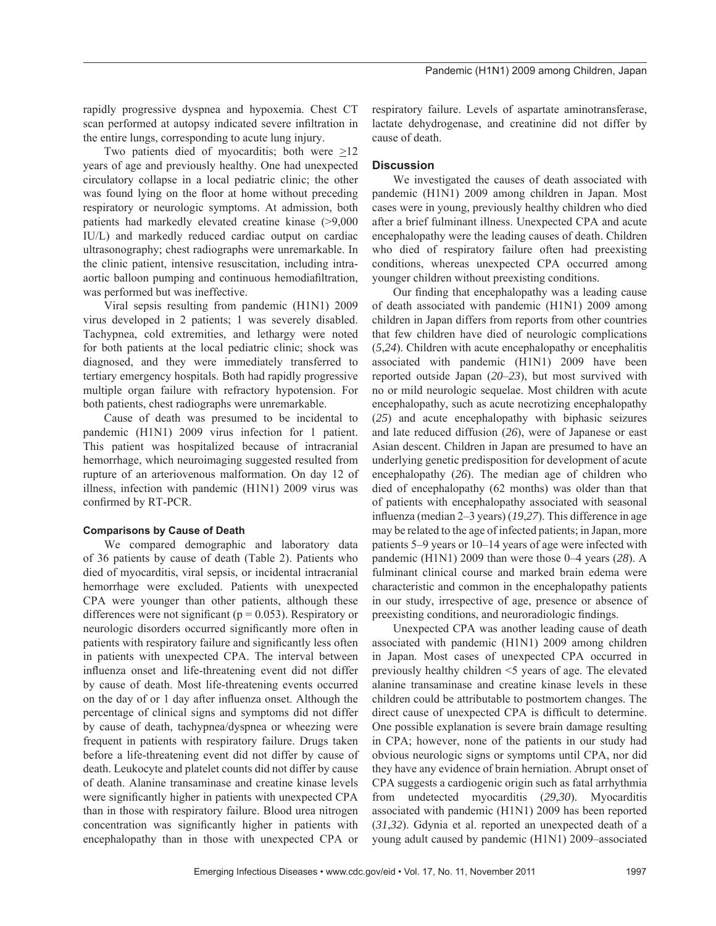rapidly progressive dyspnea and hypoxemia. Chest CT scan performed at autopsy indicated severe infiltration in the entire lungs, corresponding to acute lung injury.

Two patients died of myocarditis; both were >12 years of age and previously healthy. One had unexpected circulatory collapse in a local pediatric clinic; the other was found lying on the floor at home without preceding respiratory or neurologic symptoms. At admission, both patients had markedly elevated creatine kinase (>9,000 IU/L) and markedly reduced cardiac output on cardiac ultrasonography; chest radiographs were unremarkable. In the clinic patient, intensive resuscitation, including intraaortic balloon pumping and continuous hemodiafiltration, was performed but was ineffective.

Viral sepsis resulting from pandemic (H1N1) 2009 virus developed in 2 patients; 1 was severely disabled. Tachypnea, cold extremities, and lethargy were noted for both patients at the local pediatric clinic; shock was diagnosed, and they were immediately transferred to tertiary emergency hospitals. Both had rapidly progressive multiple organ failure with refractory hypotension. For both patients, chest radiographs were unremarkable.

Cause of death was presumed to be incidental to pandemic (H1N1) 2009 virus infection for 1 patient. This patient was hospitalized because of intracranial hemorrhage, which neuroimaging suggested resulted from rupture of an arteriovenous malformation. On day 12 of illness, infection with pandemic (H1N1) 2009 virus was confirmed by RT-PCR.

#### **Comparisons by Cause of Death**

We compared demographic and laboratory data of 36 patients by cause of death (Table 2). Patients who died of myocarditis, viral sepsis, or incidental intracranial hemorrhage were excluded. Patients with unexpected CPA were younger than other patients, although these differences were not significant ( $p = 0.053$ ). Respiratory or neurologic disorders occurred significantly more often in patients with respiratory failure and significantly less often in patients with unexpected CPA. The interval between influenza onset and life-threatening event did not differ by cause of death. Most life-threatening events occurred on the day of or 1 day after influenza onset. Although the percentage of clinical signs and symptoms did not differ by cause of death, tachypnea/dyspnea or wheezing were frequent in patients with respiratory failure. Drugs taken before a life-threatening event did not differ by cause of death. Leukocyte and platelet counts did not differ by cause of death. Alanine transaminase and creatine kinase levels were significantly higher in patients with unexpected CPA than in those with respiratory failure. Blood urea nitrogen concentration was significantly higher in patients with encephalopathy than in those with unexpected CPA or

respiratory failure. Levels of aspartate aminotransferase, lactate dehydrogenase, and creatinine did not differ by cause of death.

## **Discussion**

We investigated the causes of death associated with pandemic (H1N1) 2009 among children in Japan. Most cases were in young, previously healthy children who died after a brief fulminant illness. Unexpected CPA and acute encephalopathy were the leading causes of death. Children who died of respiratory failure often had preexisting conditions, whereas unexpected CPA occurred among younger children without preexisting conditions.

Our finding that encephalopathy was a leading cause of death associated with pandemic (H1N1) 2009 among children in Japan differs from reports from other countries that few children have died of neurologic complications (*5*,*24*). Children with acute encephalopathy or encephalitis associated with pandemic (H1N1) 2009 have been reported outside Japan (*20*–*23*), but most survived with no or mild neurologic sequelae. Most children with acute encephalopathy, such as acute necrotizing encephalopathy (*25*) and acute encephalopathy with biphasic seizures and late reduced diffusion (*26*), were of Japanese or east Asian descent. Children in Japan are presumed to have an underlying genetic predisposition for development of acute encephalopathy (*26*). The median age of children who died of encephalopathy (62 months) was older than that of patients with encephalopathy associated with seasonal influenza (median 2–3 years) (19,27). This difference in age may be related to the age of infected patients; in Japan, more patients 5–9 years or 10–14 years of age were infected with pandemic (H1N1) 2009 than were those 0–4 years (*28*). A fulminant clinical course and marked brain edema were characteristic and common in the encephalopathy patients in our study, irrespective of age, presence or absence of preexisting conditions, and neuroradiologic findings.

Unexpected CPA was another leading cause of death associated with pandemic (H1N1) 2009 among children in Japan. Most cases of unexpected CPA occurred in previously healthy children <5 years of age. The elevated alanine transaminase and creatine kinase levels in these children could be attributable to postmortem changes. The direct cause of unexpected CPA is difficult to determine. One possible explanation is severe brain damage resulting in CPA; however, none of the patients in our study had obvious neurologic signs or symptoms until CPA, nor did they have any evidence of brain herniation. Abrupt onset of CPA suggests a cardiogenic origin such as fatal arrhythmia from undetected myocarditis (*29*,*30*). Myocarditis associated with pandemic (H1N1) 2009 has been reported (*31*,*32*). Gdynia et al. reported an unexpected death of a young adult caused by pandemic (H1N1) 2009–associated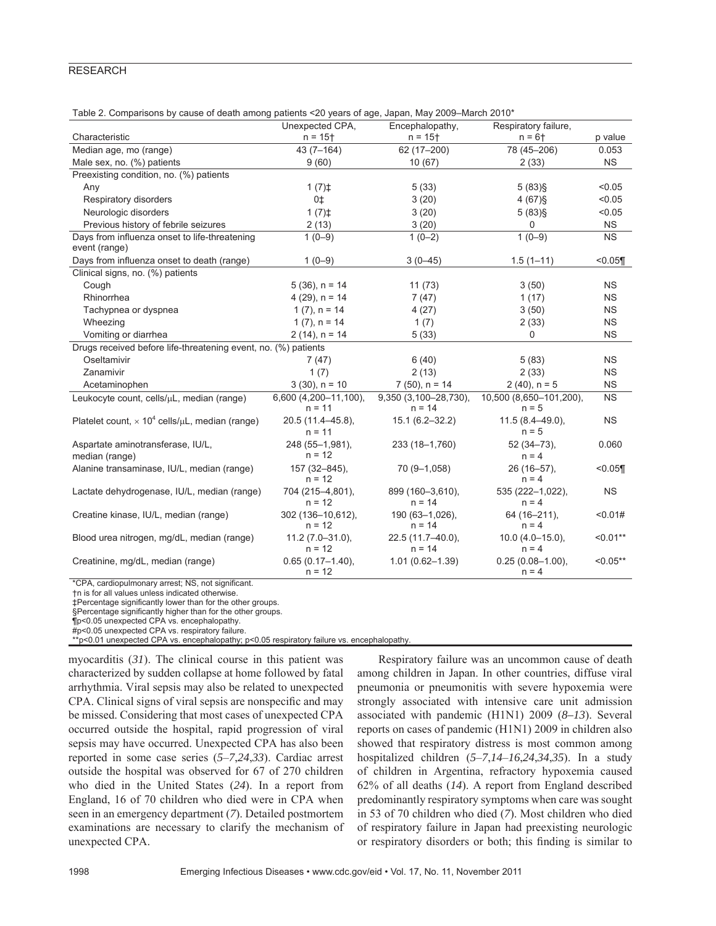| Table 2. Comparisons by cause of death among patients <20 years of age, Japan, May 2009–March 2010* |  |  |  |
|-----------------------------------------------------------------------------------------------------|--|--|--|
|-----------------------------------------------------------------------------------------------------|--|--|--|

|                                                                         | Unexpected CPA.                   | Encephalopathy,                   | Respiratory failure,               |            |
|-------------------------------------------------------------------------|-----------------------------------|-----------------------------------|------------------------------------|------------|
| Characteristic                                                          | $n = 15 +$                        | $n = 15 +$                        | $n = 6 +$                          | p value    |
| Median age, mo (range)                                                  | $43(7 - 164)$                     | 62 (17-200)                       | 78 (45-206)                        | 0.053      |
| Male sex, no. (%) patients                                              | 9(60)                             | 10(67)                            | 2(33)                              | <b>NS</b>  |
| Preexisting condition, no. (%) patients                                 |                                   |                                   |                                    |            |
| Any                                                                     | 1(7) <sup>†</sup>                 | 5(33)                             | $5(83)$ §                          | < 0.05     |
| Respiratory disorders                                                   | 0 <sup>±</sup>                    | 3(20)                             | $4(67)$ §                          | < 0.05     |
| Neurologic disorders                                                    | 1(7) <sup>†</sup>                 | 3(20)                             | $5(83)$ §                          | < 0.05     |
| Previous history of febrile seizures                                    | 2(13)                             | 3(20)                             | 0                                  | <b>NS</b>  |
| Days from influenza onset to life-threatening<br>event (range)          | $1(0-9)$                          | $1(0-2)$                          | $1(0-9)$                           | <b>NS</b>  |
| Days from influenza onset to death (range)                              | $1(0-9)$                          | $3(0-45)$                         | $1.5(1 - 11)$                      | < 0.05     |
| Clinical signs, no. (%) patients                                        |                                   |                                   |                                    |            |
| Cough                                                                   | $5(36)$ , $n = 14$                | 11(73)                            | 3(50)                              | <b>NS</b>  |
| Rhinorrhea                                                              | $4(29)$ , n = 14                  | 7(47)                             | 1(17)                              | <b>NS</b>  |
| Tachypnea or dyspnea                                                    | $1(7)$ , $n = 14$                 | 4(27)                             | 3(50)                              | <b>NS</b>  |
| Wheezing                                                                | $1(7)$ , $n = 14$                 | 1(7)                              | 2(33)                              | <b>NS</b>  |
| Vomiting or diarrhea                                                    | $2(14)$ , n = 14                  | 5(33)                             | 0                                  | <b>NS</b>  |
| Drugs received before life-threatening event, no. (%) patients          |                                   |                                   |                                    |            |
| Oseltamivir                                                             | 7(47)                             | 6(40)                             | 5(83)                              | <b>NS</b>  |
| Zanamivir                                                               | 1(7)                              | 2(13)                             | 2(33)                              | <b>NS</b>  |
| Acetaminophen                                                           | $3(30)$ , $n = 10$                | $7(50)$ , n = 14                  | $2(40)$ , n = 5                    | <b>NS</b>  |
| Leukocyte count, cells/µL, median (range)                               | 6,600 (4,200-11,100).<br>$n = 11$ | 9,350 (3,100-28,730).<br>$n = 14$ | 10,500 (8,650-101,200),<br>$n = 5$ | <b>NS</b>  |
| Platelet count, $\times$ 10 <sup>4</sup> cells/ $\mu$ L, median (range) | 20.5 (11.4-45.8),<br>$n = 11$     | $15.1(6.2 - 32.2)$                | $11.5(8.4 - 49.0),$<br>$n = 5$     | <b>NS</b>  |
| Aspartate aminotransferase, IU/L,<br>median (range)                     | 248 (55-1,981),<br>$n = 12$       | 233 (18-1,760)                    | $52(34 - 73)$ ,<br>$n = 4$         | 0.060      |
| Alanine transaminase, IU/L, median (range)                              | 157 (32-845),<br>$n = 12$         | 70 (9-1,058)                      | 26 (16-57).<br>$n = 4$             | < 0.05     |
| Lactate dehydrogenase, IU/L, median (range)                             | 704 (215-4,801),<br>$n = 12$      | 899 (160-3,610),<br>$n = 14$      | 535 (222-1,022),<br>$n = 4$        | <b>NS</b>  |
| Creatine kinase, IU/L, median (range)                                   | 302 (136-10,612).<br>$n = 12$     | 190 (63-1,026),<br>$n = 14$       | 64 (16-211),<br>$n = 4$            | < 0.01#    |
| Blood urea nitrogen, mg/dL, median (range)                              | $11.2(7.0-31.0),$<br>$n = 12$     | 22.5 (11.7-40.0),<br>$n = 14$     | $10.0 (4.0 - 15.0),$<br>$n = 4$    | $< 0.01**$ |
| Creatinine, mg/dL, median (range)                                       | $0.65(0.17 - 1.40)$ ,<br>$n = 12$ | $1.01(0.62 - 1.39)$               | $0.25(0.08 - 1.00)$ ,<br>$n = 4$   | $< 0.05**$ |

\*CPA, cardiopulmonary arrest; NS, not significant.

†n is for all values unless indicated otherwise.

‡Percentage significantly lower than for the other groups.

§Percentage significantly higher than for the other groups.

¶p<0.05 unexpected CPA vs. encephalopathy. #p<0.05 unexpected CPA vs. respiratory failure.

\*\*p<0.01 unexpected CPA vs. encephalopathy; p<0.05 respiratory failure vs. encephalopathy.

myocarditis (*31*). The clinical course in this patient was characterized by sudden collapse at home followed by fatal arrhythmia. Viral sepsis may also be related to unexpected CPA. Clinical signs of viral sepsis are nonspecific and may be missed. Considering that most cases of unexpected CPA occurred outside the hospital, rapid progression of viral sepsis may have occurred. Unexpected CPA has also been reported in some case series (*5*–*7*,*24*,*33*). Cardiac arrest outside the hospital was observed for 67 of 270 children who died in the United States (*24*). In a report from England, 16 of 70 children who died were in CPA when seen in an emergency department (*7*). Detailed postmortem examinations are necessary to clarify the mechanism of unexpected CPA.

Respiratory failure was an uncommon cause of death among children in Japan. In other countries, diffuse viral pneumonia or pneumonitis with severe hypoxemia were strongly associated with intensive care unit admission associated with pandemic (H1N1) 2009 (*8–13*). Several reports on cases of pandemic (H1N1) 2009 in children also showed that respiratory distress is most common among hospitalized children (*5*–*7*,*14*–*16*,*24*,*34*,*35*). In a study of children in Argentina, refractory hypoxemia caused 62% of all deaths (*14*). A report from England described predominantly respiratory symptoms when care was sought in 53 of 70 children who died (*7*). Most children who died of respiratory failure in Japan had preexisting neurologic or respiratory disorders or both; this finding is similar to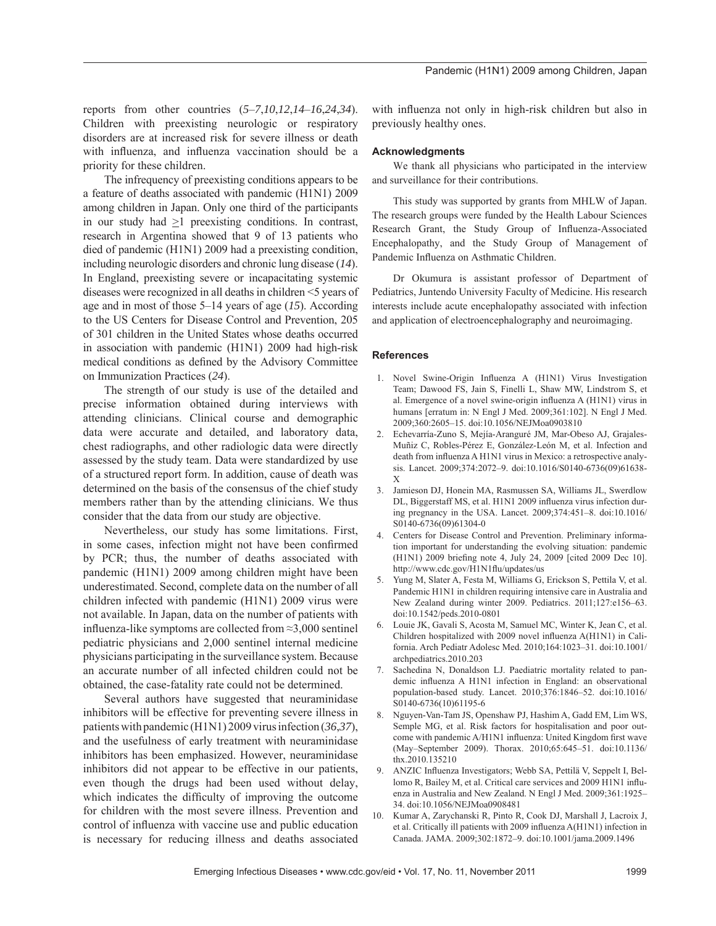The infrequency of preexisting conditions appears to be a feature of deaths associated with pandemic (H1N1) 2009 among children in Japan. Only one third of the participants in our study had >1 preexisting conditions. In contrast, research in Argentina showed that 9 of 13 patients who died of pandemic (H1N1) 2009 had a preexisting condition, including neurologic disorders and chronic lung disease (*14*). In England, preexisting severe or incapacitating systemic diseases were recognized in all deaths in children <5 years of age and in most of those 5–14 years of age (*15*). According to the US Centers for Disease Control and Prevention, 205 of 301 children in the United States whose deaths occurred in association with pandemic (H1N1) 2009 had high-risk medical conditions as defined by the Advisory Committee on Immunization Practices (*24*).

The strength of our study is use of the detailed and precise information obtained during interviews with attending clinicians. Clinical course and demographic data were accurate and detailed, and laboratory data, chest radiographs, and other radiologic data were directly assessed by the study team. Data were standardized by use of a structured report form. In addition, cause of death was determined on the basis of the consensus of the chief study members rather than by the attending clinicians. We thus consider that the data from our study are objective.

Nevertheless, our study has some limitations. First, in some cases, infection might not have been confirmed by PCR; thus, the number of deaths associated with pandemic (H1N1) 2009 among children might have been underestimated. Second, complete data on the number of all children infected with pandemic (H1N1) 2009 virus were not available. In Japan, data on the number of patients with influenza-like symptoms are collected from  $\approx$ 3,000 sentinel pediatric physicians and 2,000 sentinel internal medicine physicians participating in the surveillance system. Because an accurate number of all infected children could not be obtained, the case-fatality rate could not be determined.

Several authors have suggested that neuraminidase inhibitors will be effective for preventing severe illness in patients with pandemic (H1N1) 2009 virus infection (*36*,*37*), and the usefulness of early treatment with neuraminidase inhibitors has been emphasized. However, neuraminidase inhibitors did not appear to be effective in our patients, even though the drugs had been used without delay, which indicates the difficulty of improving the outcome for children with the most severe illness. Prevention and control of influenza with vaccine use and public education is necessary for reducing illness and deaths associated with influenza not only in high-risk children but also in previously healthy ones.

#### **Acknowledgments**

We thank all physicians who participated in the interview and surveillance for their contributions.

This study was supported by grants from MHLW of Japan. The research groups were funded by the Health Labour Sciences Research Grant, the Study Group of Influenza-Associated Encephalopathy, and the Study Group of Management of Pandemic Influenza on Asthmatic Children.

Dr Okumura is assistant professor of Department of Pediatrics, Juntendo University Faculty of Medicine. His research interests include acute encephalopathy associated with infection and application of electroencephalography and neuroimaging.

#### **References**

- 1. Novel Swine-Origin Influenza A (H1N1) Virus Investigation Team; Dawood FS, Jain S, Finelli L, Shaw MW, Lindstrom S, et al. Emergence of a novel swine-origin influenza A (H1N1) virus in humans [erratum in: N Engl J Med. 2009;361:102]. N Engl J Med. 2009;360:2605–15. doi:10.1056/NEJMoa0903810
- 2. Echevarría-Zuno S, Mejía-Aranguré JM, Mar-Obeso AJ, Grajales-Muñiz C, Robles-Pérez E, González-León M, et al. Infection and death from influenza A H1N1 virus in Mexico: a retrospective analysis. Lancet. 2009;374:2072–9. doi:10.1016/S0140-6736(09)61638- X
- 3. Jamieson DJ, Honein MA, Rasmussen SA, Williams JL, Swerdlow DL, Biggerstaff MS, et al. H1N1 2009 influenza virus infection during pregnancy in the USA. Lancet. 2009;374:451–8. doi:10.1016/ S0140-6736(09)61304-0
- 4. Centers for Disease Control and Prevention. Preliminary information important for understanding the evolving situation: pandemic (H1N1) 2009 briefing note 4, July 24, 2009 [cited 2009 Dec 10]. http://www.cdc.gov/H1N1flu/updates/us
- 5. Yung M, Slater A, Festa M, Williams G, Erickson S, Pettila V, et al. Pandemic H1N1 in children requiring intensive care in Australia and New Zealand during winter 2009. Pediatrics. 2011;127:e156–63. doi:10.1542/peds.2010-0801
- 6. Louie JK, Gavali S, Acosta M, Samuel MC, Winter K, Jean C, et al. Children hospitalized with 2009 novel influenza A(H1N1) in California. Arch Pediatr Adolesc Med. 2010;164:1023–31. doi:10.1001/ archpediatrics.2010.203
- 7. Sachedina N, Donaldson LJ. Paediatric mortality related to pandemic influenza A H1N1 infection in England: an observational population-based study. Lancet. 2010;376:1846–52. doi:10.1016/ S0140-6736(10)61195-6
- 8. Nguyen-Van-Tam JS, Openshaw PJ, Hashim A, Gadd EM, Lim WS, Semple MG, et al. Risk factors for hospitalisation and poor outcome with pandemic A/H1N1 influenza: United Kingdom first wave (May–September 2009). Thorax. 2010;65:645–51. doi:10.1136/ thx.2010.135210
- 9. ANZIC Influenza Investigators; Webb SA, Pettilä V, Seppelt I, Bellomo R, Bailey M, et al. Critical care services and 2009 H1N1 influenza in Australia and New Zealand. N Engl J Med. 2009;361:1925– 34. doi:10.1056/NEJMoa0908481
- 10. Kumar A, Zarychanski R, Pinto R, Cook DJ, Marshall J, Lacroix J, et al. Critically ill patients with 2009 influenza A(H1N1) infection in Canada. JAMA. 2009;302:1872–9. doi:10.1001/jama.2009.1496